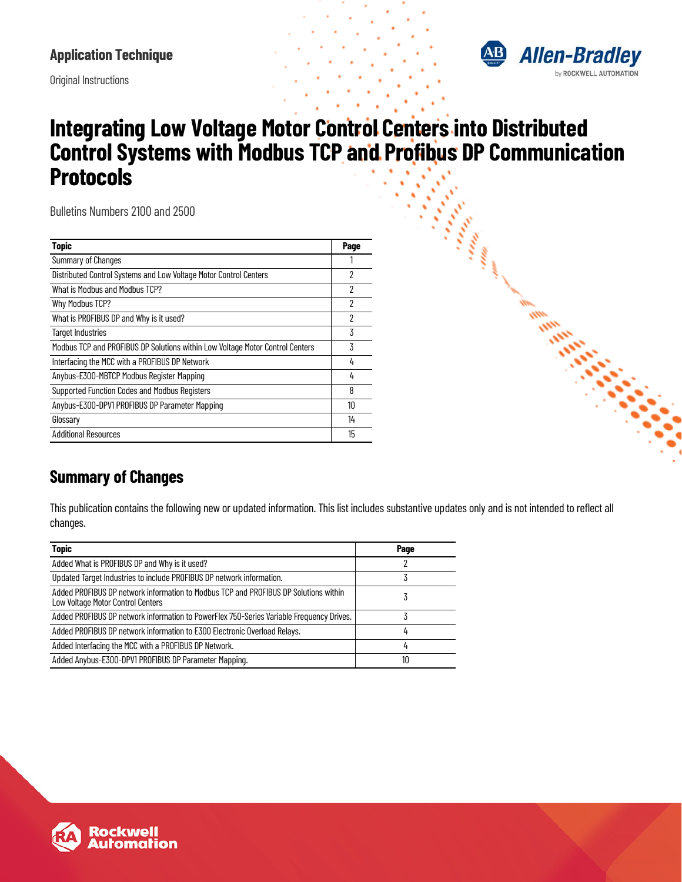

Original Instructions

# **Integrating Low Voltage Motor Control Centers into Distributed Control Systems with Modbus TCP and Profibus DP Communication Protocols**

Bulletins Numbers 2100 and 2500

| <b>Topic</b>                                                                  | Page |
|-------------------------------------------------------------------------------|------|
| <b>Summary of Changes</b>                                                     |      |
| Distributed Control Systems and Low Voltage Motor Control Centers             | 2    |
| What is Modbus and Modbus TCP?                                                | 2    |
| Why Modbus TCP?                                                               | 2    |
| What is PROFIBUS DP and Why is it used?                                       | 2    |
| <b>Target Industries</b>                                                      | 3    |
| Modbus TCP and PROFIBUS DP Solutions within Low Voltage Motor Control Centers | 3    |
| Interfacing the MCC with a PROFIBUS DP Network                                | 4    |
| Anybus-E300-MBTCP Modbus Register Mapping                                     | 4    |
| Supported Function Codes and Modbus Registers                                 | 8    |
| Anybus-E300-DPV1 PROFIBUS DP Parameter Mapping                                | 10   |
| Glossary                                                                      | 14   |
| <b>Additional Resources</b>                                                   | 15   |

## <span id="page-0-0"></span>**Summary of Changes**

This publication contains the following new or updated information. This list includes substantive updates only and is not intended to reflect all changes.

| <b>Topic</b>                                                                                                              | Page |
|---------------------------------------------------------------------------------------------------------------------------|------|
| Added What is PROFIBUS DP and Why is it used?                                                                             | 2    |
| Updated Target Industries to include PROFIBUS DP network information.                                                     | 3    |
| Added PROFIBUS DP network information to Modbus TCP and PROFIBUS DP Solutions within<br>Low Voltage Motor Control Centers | ć    |
| Added PROFIBUS DP network information to PowerFlex 750-Series Variable Frequency Drives.                                  |      |
| Added PROFIBUS DP network information to E300 Electronic Overload Relays.                                                 | 4    |
| Added Interfacing the MCC with a PROFIBUS DP Network.                                                                     | 4    |
| Added Anybus-E300-DPV1 PROFIBUS DP Parameter Mapping.                                                                     | 10   |

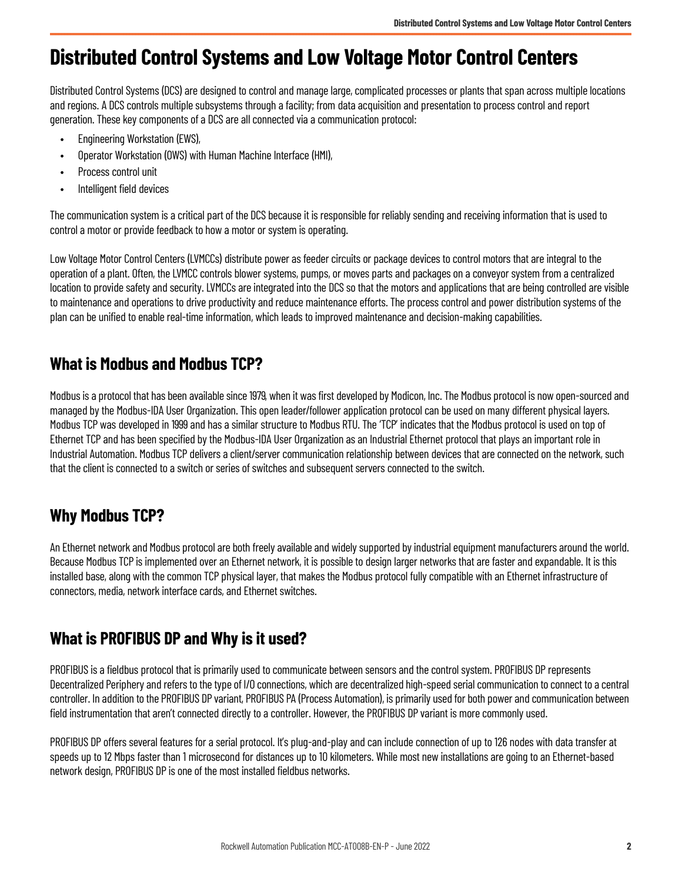# <span id="page-1-0"></span>**Distributed Control Systems and Low Voltage Motor Control Centers**

Distributed Control Systems (DCS) are designed to control and manage large, complicated processes or plants that span across multiple locations and regions. A DCS controls multiple subsystems through a facility; from data acquisition and presentation to process control and report generation. These key components of a DCS are all connected via a communication protocol:

- Engineering Workstation (EWS),
- Operator Workstation (OWS) with Human Machine Interface (HMI),
- Process control unit
- Intelligent field devices

The communication system is a critical part of the DCS because it is responsible for reliably sending and receiving information that is used to control a motor or provide feedback to how a motor or system is operating.

Low Voltage Motor Control Centers (LVMCCs) distribute power as feeder circuits or package devices to control motors that are integral to the operation of a plant. Often, the LVMCC controls blower systems, pumps, or moves parts and packages on a conveyor system from a centralized location to provide safety and security. LVMCCs are integrated into the DCS so that the motors and applications that are being controlled are visible to maintenance and operations to drive productivity and reduce maintenance efforts. The process control and power distribution systems of the plan can be unified to enable real-time information, which leads to improved maintenance and decision-making capabilities.

### <span id="page-1-1"></span>**What is Modbus and Modbus TCP?**

Modbus is a protocol that has been available since 1979, when it was first developed by Modicon, Inc. The Modbus protocol is now open-sourced and managed by the Modbus-IDA User Organization. This open leader/follower application protocol can be used on many different physical layers. Modbus TCP was developed in 1999 and has a similar structure to Modbus RTU. The 'TCP' indicates that the Modbus protocol is used on top of Ethernet TCP and has been specified by the Modbus-IDA User Organization as an Industrial Ethernet protocol that plays an important role in Industrial Automation. Modbus TCP delivers a client/server communication relationship between devices that are connected on the network, such that the client is connected to a switch or series of switches and subsequent servers connected to the switch.

## <span id="page-1-2"></span>**Why Modbus TCP?**

An Ethernet network and Modbus protocol are both freely available and widely supported by industrial equipment manufacturers around the world. Because Modbus TCP is implemented over an Ethernet network, it is possible to design larger networks that are faster and expandable. It is this installed base, along with the common TCP physical layer, that makes the Modbus protocol fully compatible with an Ethernet infrastructure of connectors, media, network interface cards, and Ethernet switches.

### <span id="page-1-3"></span>**What is PROFIBUS DP and Why is it used?**

PROFIBUS is a fieldbus protocol that is primarily used to communicate between sensors and the control system. PROFIBUS DP represents Decentralized Periphery and refers to the type of I/O connections, which are decentralized high-speed serial communication to connect to a central controller. In addition to the PROFIBUS DP variant, PROFIBUS PA (Process Automation), is primarily used for both power and communication between field instrumentation that aren't connected directly to a controller. However, the PROFIBUS DP variant is more commonly used.

PROFIBUS DP offers several features for a serial protocol. It's plug-and-play and can include connection of up to 126 nodes with data transfer at speeds up to 12 Mbps faster than 1 microsecond for distances up to 10 kilometers. While most new installations are going to an Ethernet-based network design, PROFIBUS DP is one of the most installed fieldbus networks.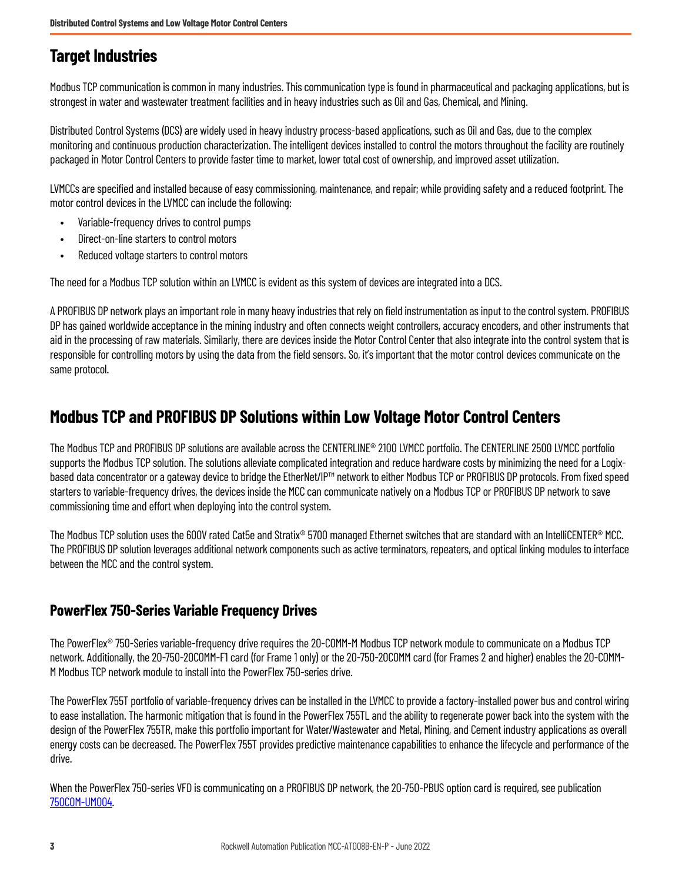### <span id="page-2-0"></span>**Target Industries**

Modbus TCP communication is common in many industries. This communication type is found in pharmaceutical and packaging applications, but is strongest in water and wastewater treatment facilities and in heavy industries such as Oil and Gas, Chemical, and Mining.

Distributed Control Systems (DCS) are widely used in heavy industry process-based applications, such as Oil and Gas, due to the complex monitoring and continuous production characterization. The intelligent devices installed to control the motors throughout the facility are routinely packaged in Motor Control Centers to provide faster time to market, lower total cost of ownership, and improved asset utilization.

LVMCCs are specified and installed because of easy commissioning, maintenance, and repair; while providing safety and a reduced footprint. The motor control devices in the LVMCC can include the following:

- Variable-frequency drives to control pumps
- Direct-on-line starters to control motors
- Reduced voltage starters to control motors

The need for a Modbus TCP solution within an LVMCC is evident as this system of devices are integrated into a DCS.

A PROFIBUS DP network plays an important role in many heavy industries that rely on field instrumentation as input to the control system. PROFIBUS DP has gained worldwide acceptance in the mining industry and often connects weight controllers, accuracy encoders, and other instruments that aid in the processing of raw materials. Similarly, there are devices inside the Motor Control Center that also integrate into the control system that is responsible for controlling motors by using the data from the field sensors. So, it's important that the motor control devices communicate on the same protocol.

### <span id="page-2-1"></span>**Modbus TCP and PROFIBUS DP Solutions within Low Voltage Motor Control Centers**

The Modbus TCP and PROFIBUS DP solutions are available across the CENTERLINE® 2100 LVMCC portfolio. The CENTERLINE 2500 LVMCC portfolio supports the Modbus TCP solution. The solutions alleviate complicated integration and reduce hardware costs by minimizing the need for a Logixbased data concentrator or a gateway device to bridge the EtherNet/IP™ network to either Modbus TCP or PROFIBUS DP protocols. From fixed speed starters to variable-frequency drives, the devices inside the MCC can communicate natively on a Modbus TCP or PROFIBUS DP network to save commissioning time and effort when deploying into the control system.

The Modbus TCP solution uses the 600V rated Cat5e and Stratix® 5700 managed Ethernet switches that are standard with an IntelliCENTER® MCC. The PROFIBUS DP solution leverages additional network components such as active terminators, repeaters, and optical linking modules to interface between the MCC and the control system.

#### <span id="page-2-2"></span>**PowerFlex 750-Series Variable Frequency Drives**

The PowerFlex® 750-Series variable-frequency drive requires the 20-COMM-M Modbus TCP network module to communicate on a Modbus TCP network. Additionally, the 20-750-20COMM-F1 card (for Frame 1 only) or the 20-750-20COMM card (for Frames 2 and higher) enables the 20-COMM-M Modbus TCP network module to install into the PowerFlex 750-series drive.

The PowerFlex 755T portfolio of variable-frequency drives can be installed in the LVMCC to provide a factory-installed power bus and control wiring to ease installation. The harmonic mitigation that is found in the PowerFlex 755TL and the ability to regenerate power back into the system with the design of the PowerFlex 755TR, make this portfolio important for Water/Wastewater and Metal, Mining, and Cement industry applications as overall energy costs can be decreased. The PowerFlex 755T provides predictive maintenance capabilities to enhance the lifecycle and performance of the drive.

When the PowerFlex 750-series VFD is communicating on a PROFIBUS DP network, the 20-750-PBUS option card is required, see publication [750COM-UM004.](https://literature.rockwellautomation.com/idc/groups/literature/documents/um/750com-um004_-en-p.pdf)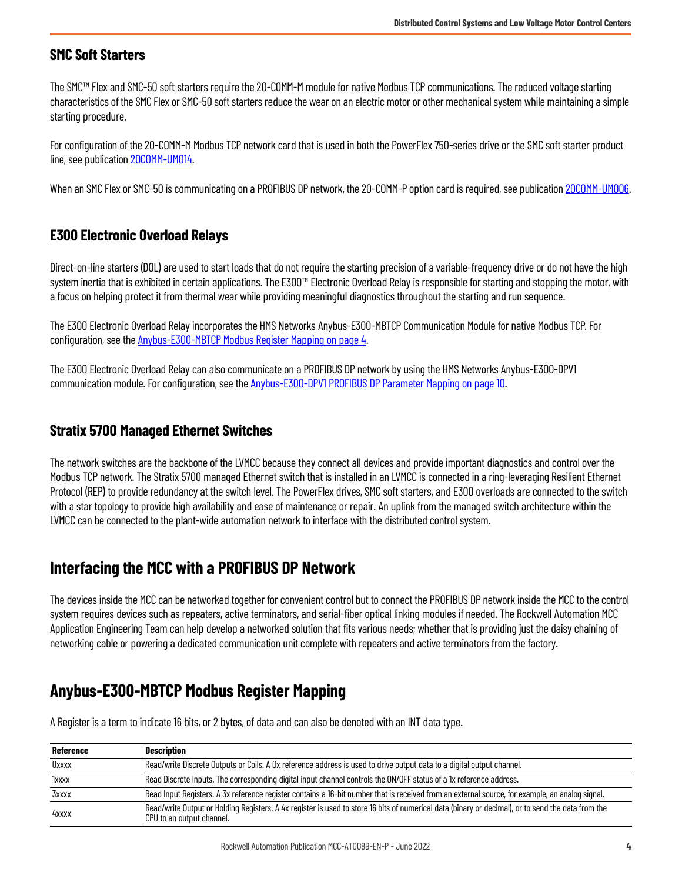#### **SMC Soft Starters**

The SMC™ Flex and SMC-50 soft starters require the 20-COMM-M module for native Modbus TCP communications. The reduced voltage starting characteristics of the SMC Flex or SMC-50 soft starters reduce the wear on an electric motor or other mechanical system while maintaining a simple starting procedure.

For configuration of the 20-COMM-M Modbus TCP network card that is used in both the PowerFlex 750-series drive or the SMC soft starter product line, see publication [20COMM-UM014.](https://literature.rockwellautomation.com/idc/groups/literature/documents/um/20comm-um014_-en-p.pdf)

When an SMC Flex or SMC-50 is communicating on a PROFIBUS DP network, the 20-COMM-P option card is required, see publication [20COMM-UM006.](https://literature.rockwellautomation.com/idc/groups/literature/documents/um/20comm-um006_-en-p.pdf)

#### <span id="page-3-2"></span>**E300 Electronic Overload Relays**

Direct-on-line starters (DOL) are used to start loads that do not require the starting precision of a variable-frequency drive or do not have the high system inertia that is exhibited in certain applications. The E300™ Electronic Overload Relay is responsible for starting and stopping the motor, with a focus on helping protect it from thermal wear while providing meaningful diagnostics throughout the starting and run sequence.

The E300 Electronic Overload Relay incorporates the HMS Networks Anybus-E300-MBTCP Communication Module for native Modbus TCP. For configuration, see the [Anybus-E300-MBTCP Modbus Register Mapping on page 4.](#page-3-3)

The E300 Electronic Overload Relay can also communicate on a PROFIBUS DP network by using the HMS Networks Anybus-E300-DPV1 communication module. For configuration, see the [Anybus-E300-DPV1 PROFIBUS DP Parameter Mapping on page 10](#page-9-1).

#### **Stratix 5700 Managed Ethernet Switches**

The network switches are the backbone of the LVMCC because they connect all devices and provide important diagnostics and control over the Modbus TCP network. The Stratix 5700 managed Ethernet switch that is installed in an LVMCC is connected in a ring-leveraging Resilient Ethernet Protocol (REP) to provide redundancy at the switch level. The PowerFlex drives, SMC soft starters, and E300 overloads are connected to the switch with a star topology to provide high availability and ease of maintenance or repair. An uplink from the managed switch architecture within the LVMCC can be connected to the plant-wide automation network to interface with the distributed control system.

### <span id="page-3-0"></span>**Interfacing the MCC with a PROFIBUS DP Network**

The devices inside the MCC can be networked together for convenient control but to connect the PROFIBUS DP network inside the MCC to the control system requires devices such as repeaters, active terminators, and serial-fiber optical linking modules if needed. The Rockwell Automation MCC Application Engineering Team can help develop a networked solution that fits various needs; whether that is providing just the daisy chaining of networking cable or powering a dedicated communication unit complete with repeaters and active terminators from the factory.

### <span id="page-3-3"></span><span id="page-3-1"></span>**Anybus-E300-MBTCP Modbus Register Mapping**

A Register is a term to indicate 16 bits, or 2 bytes, of data and can also be denoted with an INT data type.

| <b>Reference</b> | <b>Description</b>                                                                                                                                                              |
|------------------|---------------------------------------------------------------------------------------------------------------------------------------------------------------------------------|
| Oxxxx            | Read/write Discrete Outputs or Coils. A Ox reference address is used to drive output data to a digital output channel.                                                          |
| 1xxxx            | Read Discrete Inputs. The corresponding digital input channel controls the ON/OFF status of a 1x reference address.                                                             |
| 3xxxx            | Read Input Registers. A 3x reference register contains a 16-bit number that is received from an external source, for example, an analog signal.                                 |
| 4xxxx            | Read/write Output or Holding Registers. A 4x register is used to store 16 bits of numerical data (binary or decimal), or to send the data from the<br>CPU to an output channel. |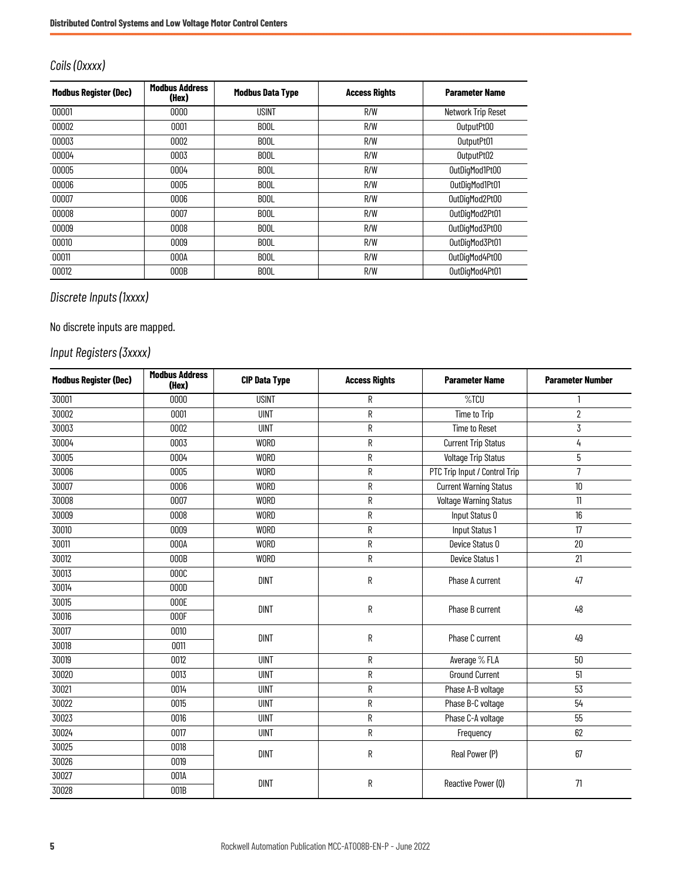#### *Coils (0xxxx)*

| <b>Modbus Register (Dec)</b> | <b>Modbus Address</b><br>(Hex) | <b>Modbus Data Type</b> | <b>Access Rights</b> | <b>Parameter Name</b> |
|------------------------------|--------------------------------|-------------------------|----------------------|-----------------------|
| 00001                        | 0000                           | <b>USINT</b>            | R/W                  | Network Trip Reset    |
| 00002                        | 0001                           | <b>BOOL</b>             | R/W                  | OutputPt00            |
| 00003                        | 0002                           | B <sub>00</sub> L       | R/W                  | OutputPt01            |
| 00004                        | 0003                           | B <sub>0</sub> 0L       | R/W                  | OutputPt02            |
| 00005                        | 0004                           | B <sub>00</sub> L       | R/W                  | OutDigMod1Pt00        |
| 00006                        | 0005                           | <b>BOOL</b>             | R/W                  | OutDigMod1Pt01        |
| 00007                        | 0006                           | B <sub>00</sub> L       | R/W                  | OutDigMod2Pt00        |
| 00008                        | 0007                           | <b>BOOL</b>             | R/W                  | OutDigMod2Pt01        |
| 00009                        | 0008                           | B <sub>00</sub> L       | R/W                  | OutDigMod3Pt00        |
| 00010                        | 0009                           | <b>BOOL</b>             | R/W                  | OutDigMod3Pt01        |
| 00011                        | 000A                           | <b>BOOL</b>             | R/W                  | OutDigMod4Pt00        |
| 00012                        | 000B                           | <b>BOOL</b>             | R/W                  | OutDigMod4Pt01        |

### *Discrete Inputs (1xxxx)*

#### No discrete inputs are mapped.

### *Input Registers (3xxxx)*

| <b>Modbus Register (Dec)</b> | <b>Modbus Address</b><br>(Hex) | <b>CIP Data Type</b> | <b>Access Rights</b> | <b>Parameter Name</b>         | <b>Parameter Number</b> |  |
|------------------------------|--------------------------------|----------------------|----------------------|-------------------------------|-------------------------|--|
| 30001                        | 0000                           | <b>USINT</b>         | R                    | %TCU                          |                         |  |
| 30002                        | 0001                           | <b>UINT</b>          | R                    | Time to Trip                  | $\overline{\mathbf{2}}$ |  |
| 30003                        | 0002                           | <b>UINT</b>          | R                    | <b>Time to Reset</b>          | 3                       |  |
| 30004                        | 0003                           | <b>WORD</b>          | R                    | <b>Current Trip Status</b>    | 4                       |  |
| 30005                        | 0004                           | <b>WORD</b>          | R                    | <b>Voltage Trip Status</b>    | 5                       |  |
| 30006                        | 0005                           | WORD                 | R                    | PTC Trip Input / Control Trip | $\overline{7}$          |  |
| 30007                        | 0006                           | <b>WORD</b>          | R                    | <b>Current Warning Status</b> | 10                      |  |
| 30008                        | 0007                           | <b>WORD</b>          | R                    | <b>Voltage Warning Status</b> | 11                      |  |
| 30009                        | 0008                           | <b>WORD</b>          | R                    | Input Status 0                | 16                      |  |
| 30010                        | 0009                           | <b>WORD</b>          | R                    | Input Status 1                | 17                      |  |
| 30011                        | 000A                           | <b>WORD</b>          | R                    | Device Status 0               | 20                      |  |
| 30012                        | 000B                           | <b>WORD</b>          | R                    | Device Status 1               | 21                      |  |
| 30013                        | 000C                           | <b>DINT</b>          | R                    | Phase A current               | 47                      |  |
| 30014                        | 000D                           |                      |                      |                               |                         |  |
| 30015                        | 000E                           | <b>DINT</b>          | R                    | Phase B current               | 48                      |  |
| 30016                        | 000F                           |                      |                      |                               |                         |  |
| 30017                        | 0010                           | <b>DINT</b>          | R                    | Phase C current               | 49                      |  |
| 30018                        | 0011                           |                      |                      |                               |                         |  |
| 30019                        | 0012                           | <b>UINT</b>          | R                    | Average % FLA                 | 50                      |  |
| 30020                        | 0013                           | <b>UINT</b>          | R                    | <b>Ground Current</b>         | 51                      |  |
| 30021                        | 0014                           | <b>UINT</b>          | R                    | Phase A-B voltage             | 53                      |  |
| 30022                        | 0015                           | <b>UINT</b>          | R                    | Phase B-C voltage             | 54                      |  |
| 30023                        | 0016                           | <b>UINT</b>          | R                    | Phase C-A voltage             | 55                      |  |
| 30024                        | 0017                           | <b>UINT</b>          | R                    | Frequency                     | 62                      |  |
| 30025                        | 0018                           | <b>DINT</b>          | R                    | Real Power (P)                | 67                      |  |
| 30026                        | 0019                           |                      |                      |                               |                         |  |
| 30027                        | 001A                           | <b>DINT</b>          | R                    | Reactive Power (0)            | 71                      |  |
| 30028                        | 001B                           |                      |                      |                               |                         |  |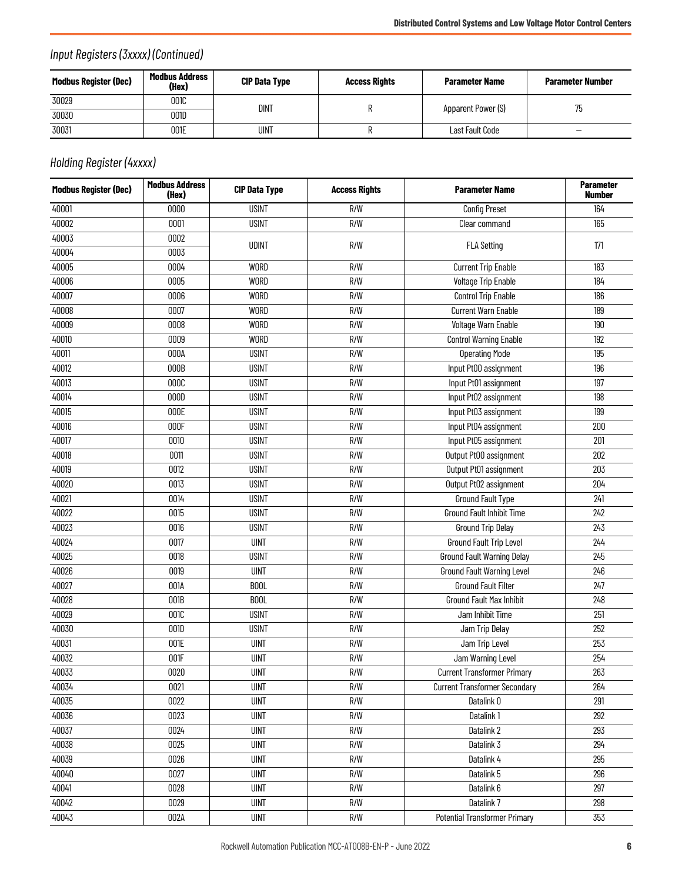### *Input Registers (3xxxx) (Continued)*

| Modbus Register (Dec) | Modbus Address<br>(Hex) | <b>CIP Data Type</b> | <b>Access Rights</b> | <b>Parameter Name</b> | <b>Parameter Number</b> |
|-----------------------|-------------------------|----------------------|----------------------|-----------------------|-------------------------|
| 30029                 | 001C                    | <b>DINT</b>          |                      | Apparent Power (S)    | 75                      |
| 30030                 | 001D                    |                      |                      |                       |                         |
| 30031                 | 001E                    | <b>UINT</b>          |                      | Last Fault Code       | -                       |

### *Holding Register (4xxxx)*

| <b>Modbus Register (Dec)</b> | <b>Modbus Address</b><br>(Hex) | <b>CIP Data Type</b> | <b>Access Rights</b> | <b>Parameter Name</b>                | <b>Parameter</b><br><b>Number</b> |
|------------------------------|--------------------------------|----------------------|----------------------|--------------------------------------|-----------------------------------|
| 40001                        | 0000                           | <b>USINT</b>         | R/W                  | <b>Config Preset</b>                 | 164                               |
| 40002                        | 0001                           | <b>USINT</b>         | R/W                  | Clear command                        | 165                               |
| 40003                        | 0002                           | <b>UDINT</b>         | R/W                  |                                      |                                   |
| 40004                        | 0003                           |                      |                      | <b>FLA Setting</b>                   | 171                               |
| 40005                        | 0004                           | <b>WORD</b>          | R/W                  | <b>Current Trip Enable</b>           | 183                               |
| 40006                        | 0005                           | <b>WORD</b>          | R/W                  | <b>Voltage Trip Enable</b>           | 184                               |
| 40007                        | 0006                           | <b>WORD</b>          | R/W                  | <b>Control Trip Enable</b>           | 186                               |
| 40008                        | 0007                           | <b>WORD</b>          | R/W                  | <b>Current Warn Enable</b>           | 189                               |
| 40009                        | 0008                           | <b>WORD</b>          | R/W                  | Voltage Warn Enable                  | 190                               |
| 40010                        | 0009                           | <b>WORD</b>          | R/W                  | Control Warning Enable               | 192                               |
| 40011                        | 000A                           | <b>USINT</b>         | R/W                  | <b>Operating Mode</b>                | 195                               |
| 40012                        | 000B                           | <b>USINT</b>         | R/W                  | Input Pt00 assignment                | 196                               |
| 40013                        | 000C                           | <b>USINT</b>         | R/W                  | Input Pt01 assignment                | 197                               |
| 40014                        | 000D                           | <b>USINT</b>         | R/W                  | Input Pt02 assignment                | 198                               |
| 40015                        | 000E                           | <b>USINT</b>         | R/W                  | Input Pt03 assignment                | 199                               |
| 40016                        | 000F                           | <b>USINT</b>         | R/W                  | Input Pt04 assignment                | 200                               |
| 40017                        | 0010                           | <b>USINT</b>         | R/W                  | Input Pt05 assignment                | 201                               |
| 40018                        | 0011                           | <b>USINT</b>         | R/W                  | Output Pt00 assignment               | 202                               |
| 40019                        | 0012                           | <b>USINT</b>         | R/W                  | Output Pt01 assignment               | 203                               |
| 40020                        | 0013                           | <b>USINT</b>         | R/W                  | Output Pt02 assignment               | 204                               |
| 40021                        | 0014                           | <b>USINT</b>         | R/W                  | <b>Ground Fault Type</b>             | 241                               |
| 40022                        | 0015                           | <b>USINT</b>         | R/W                  | <b>Ground Fault Inhibit Time</b>     | 242                               |
| 40023                        | 0016                           | <b>USINT</b>         | R/W                  | <b>Ground Trip Delay</b>             | 243                               |
| 40024                        | 0017                           | <b>UINT</b>          | R/W                  | Ground Fault Trip Level              | 244                               |
| 40025                        | 0018                           | <b>USINT</b>         | R/W                  | <b>Ground Fault Warning Delay</b>    | 245                               |
| 40026                        | 0019                           | <b>UINT</b>          | R/W                  | <b>Ground Fault Warning Level</b>    | 246                               |
| 40027                        | 001A                           | <b>BOOL</b>          | R/W                  | <b>Ground Fault Filter</b>           | 247                               |
| 40028                        | 001B                           | <b>BOOL</b>          | R/W                  | Ground Fault Max Inhibit             | 248                               |
| 40029                        | 001C                           | <b>USINT</b>         | R/W                  | Jam Inhibit Time                     | 251                               |
| 40030                        | 001D                           | <b>USINT</b>         | R/W                  | Jam Trip Delay                       | 252                               |
| 40031                        | 001E                           | <b>UINT</b>          | R/W                  | Jam Trip Level                       | 253                               |
| 40032                        | 001F                           | <b>UINT</b>          | R/W                  | Jam Warning Level                    | 254                               |
| 40033                        | 0020                           | <b>UINT</b>          | R/W                  | <b>Current Transformer Primary</b>   | 263                               |
| 40034                        | 0021                           | <b>UINT</b>          | R/W                  | <b>Current Transformer Secondary</b> | 264                               |
| 40035                        | 0022                           | <b>UINT</b>          | R/W                  | Datalink 0                           | 291                               |
| 40036                        | 0023                           | <b>UINT</b>          | R/W                  | Datalink 1                           | 292                               |
| 40037                        | 0024                           | <b>UINT</b>          | R/W                  | Datalink 2                           | 293                               |
| 40038                        | 0025                           | <b>UINT</b>          | R/W                  | Datalink 3                           | 294                               |
| 40039                        | 0026                           | <b>UINT</b>          | R/W                  | Datalink 4                           | 295                               |
| 40040                        | 0027                           | <b>UINT</b>          | R/W                  | Datalink 5                           | 296                               |
| 40041                        | 0028                           | <b>UINT</b>          | R/W                  | Datalink 6                           | 297                               |
| 40042                        | 0029                           | <b>UINT</b>          | R/W                  | Datalink 7                           | 298                               |
| 40043                        | 002A                           | <b>UINT</b>          | R/W                  | <b>Potential Transformer Primary</b> | 353                               |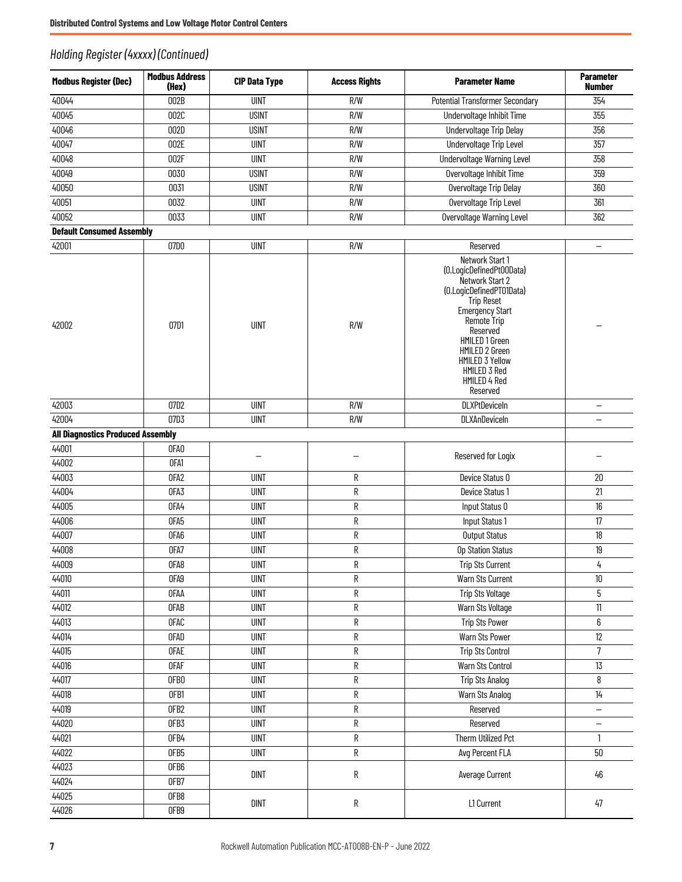#### *Holding Register (4xxxx) (Continued)*

| <b>Modbus Register (Dec)</b>             | <b>Modbus Address</b><br>(Hex) | <b>CIP Data Type</b> | <b>Access Rights</b> | <b>Parameter Name</b>                                                                                                                                                                                                                                                                        | <b>Parameter</b><br><b>Number</b> |
|------------------------------------------|--------------------------------|----------------------|----------------------|----------------------------------------------------------------------------------------------------------------------------------------------------------------------------------------------------------------------------------------------------------------------------------------------|-----------------------------------|
| 40044                                    | 002B                           | <b>UINT</b>          | R/W                  | <b>Potential Transformer Secondary</b>                                                                                                                                                                                                                                                       | 354                               |
| 40045                                    | 002C                           | <b>USINT</b>         | R/W                  | Undervoltage Inhibit Time                                                                                                                                                                                                                                                                    | 355                               |
| 40046                                    | 002D                           | <b>USINT</b>         | R/W                  | Undervoltage Trip Delay                                                                                                                                                                                                                                                                      | 356                               |
| 40047                                    | 002E                           | <b>UINT</b>          | R/W                  | Undervoltage Trip Level                                                                                                                                                                                                                                                                      | 357                               |
| 40048                                    | 002F                           | <b>UINT</b>          | R/W                  | <b>Undervoltage Warning Level</b>                                                                                                                                                                                                                                                            | 358                               |
| 40049                                    | 0030                           | <b>USINT</b>         | R/W                  | Overvoltage Inhibit Time                                                                                                                                                                                                                                                                     | 359                               |
| 40050                                    | 0031                           | <b>USINT</b>         | R/W                  | Overvoltage Trip Delay                                                                                                                                                                                                                                                                       | 360                               |
| 40051                                    | 0032                           | <b>UINT</b>          | R/W                  | Overvoltage Trip Level                                                                                                                                                                                                                                                                       | 361                               |
| 40052                                    | 0033                           | <b>UINT</b>          | R/W                  | <b>Overvoltage Warning Level</b>                                                                                                                                                                                                                                                             | 362                               |
| <b>Default Consumed Assembly</b>         |                                |                      |                      |                                                                                                                                                                                                                                                                                              |                                   |
| 42001                                    | 07D0                           | <b>UINT</b>          | R/W                  | Reserved                                                                                                                                                                                                                                                                                     | $\overline{\phantom{0}}$          |
| 42002                                    | 07D1                           | <b>UINT</b>          | R/W                  | Network Start 1<br>(0.LogicDefinedPt00Data)<br>Network Start 2<br>(0.LogicDefinedPT01Data)<br><b>Trip Reset</b><br><b>Emergency Start</b><br>Remote Trip<br><b>Reserved</b><br><b>HMILED 1 Green</b><br>HMILED 2 Green<br><b>HMILED 3 Yellow</b><br>HMILED 3 Red<br>HMILED 4 Red<br>Reserved |                                   |
| 42003                                    | 07D2                           | <b>UINT</b>          | R/W                  | <b>DLXPtDeviceIn</b>                                                                                                                                                                                                                                                                         | $\overline{\phantom{0}}$          |
| 42004                                    | 07D3                           | <b>UINT</b>          | R/W                  | DLXAnDeviceIn                                                                                                                                                                                                                                                                                | -                                 |
| <b>All Diagnostics Produced Assembly</b> |                                |                      |                      |                                                                                                                                                                                                                                                                                              |                                   |
| 44001                                    | OFA <sub>0</sub>               |                      |                      |                                                                                                                                                                                                                                                                                              |                                   |
| 44002                                    | OFA1                           |                      |                      | Reserved for Logix                                                                                                                                                                                                                                                                           |                                   |
| 44003                                    | OFA2                           | <b>UINT</b>          | R                    | Device Status 0                                                                                                                                                                                                                                                                              | $20\,$                            |
| 44004                                    | OFA3                           | <b>UINT</b>          | $\mathsf R$          | Device Status 1                                                                                                                                                                                                                                                                              | 21                                |
| 44005                                    | OFA4                           | <b>UINT</b>          | ${\sf R}$            | Input Status 0                                                                                                                                                                                                                                                                               | 16                                |
| 44006                                    | OFA <sub>5</sub>               | <b>UINT</b>          | $\mathsf R$          | Input Status 1                                                                                                                                                                                                                                                                               | 17                                |
| 44007                                    | OFA6                           | <b>UINT</b>          | R                    | <b>Output Status</b>                                                                                                                                                                                                                                                                         | 18                                |
| 44008                                    | OFA7                           | <b>UINT</b>          | R                    | Op Station Status                                                                                                                                                                                                                                                                            | 19                                |
| 44009                                    | OFA8                           | <b>UINT</b>          | R                    | <b>Trip Sts Current</b>                                                                                                                                                                                                                                                                      | 4                                 |
| 44010                                    | OFA9                           | <b>UINT</b>          | ${\sf R}$            | Warn Sts Current                                                                                                                                                                                                                                                                             | 10                                |
| 44011                                    | OFAA                           | <b>UINT</b>          | ${\sf R}$            | Trip Sts Voltage                                                                                                                                                                                                                                                                             | 5                                 |
| 44012                                    | <b>OFAB</b>                    | <b>UINT</b>          | R                    | Warn Sts Voltage                                                                                                                                                                                                                                                                             | $11\,$                            |
| 44013                                    | <b>OFAC</b>                    | <b>UINT</b>          | R                    | <b>Trip Sts Power</b>                                                                                                                                                                                                                                                                        | 6                                 |
| 44014                                    | <b>OFAD</b>                    | <b>UINT</b>          | ${\sf R}$            | Warn Sts Power                                                                                                                                                                                                                                                                               | 12                                |
| 44015                                    | <b>OFAE</b>                    | <b>UINT</b>          | R                    | <b>Trip Sts Control</b>                                                                                                                                                                                                                                                                      | $\overline{7}$                    |
| 44016                                    | <b>OFAF</b>                    | <b>UINT</b>          | ${\sf R}$            | Warn Sts Control                                                                                                                                                                                                                                                                             | 13                                |
| 44017                                    | OFBO                           | <b>UINT</b>          | ${\sf R}$            | <b>Trip Sts Analog</b>                                                                                                                                                                                                                                                                       | 8                                 |
| 44018                                    | OFB1                           | <b>UINT</b>          | ${\sf R}$            | Warn Sts Analog                                                                                                                                                                                                                                                                              | $14$                              |
| 44019                                    | OFB <sub>2</sub>               | <b>UINT</b>          | ${\sf R}$            | Reserved                                                                                                                                                                                                                                                                                     | $\overline{\phantom{0}}$          |
| 44020                                    | OFB3                           | <b>UINT</b>          | R                    | Reserved                                                                                                                                                                                                                                                                                     | —                                 |
| 44021                                    | OFB4                           | <b>UINT</b>          | R                    | Therm Utilized Pct                                                                                                                                                                                                                                                                           | $\mathbf{1}$                      |
| 44022                                    | OFB5                           | <b>UINT</b>          | ${\sf R}$            | Avg Percent FLA                                                                                                                                                                                                                                                                              | $50\,$                            |
| 44023                                    | OFB6                           | <b>DINT</b>          | R                    | Average Current                                                                                                                                                                                                                                                                              | 46                                |
| 44024                                    | OFB7                           |                      |                      |                                                                                                                                                                                                                                                                                              |                                   |
| 44025                                    | OFB8                           | <b>DINT</b>          | ${\sf R}$            | L1 Current                                                                                                                                                                                                                                                                                   | 47                                |
| 44026                                    | OFB9                           |                      |                      |                                                                                                                                                                                                                                                                                              |                                   |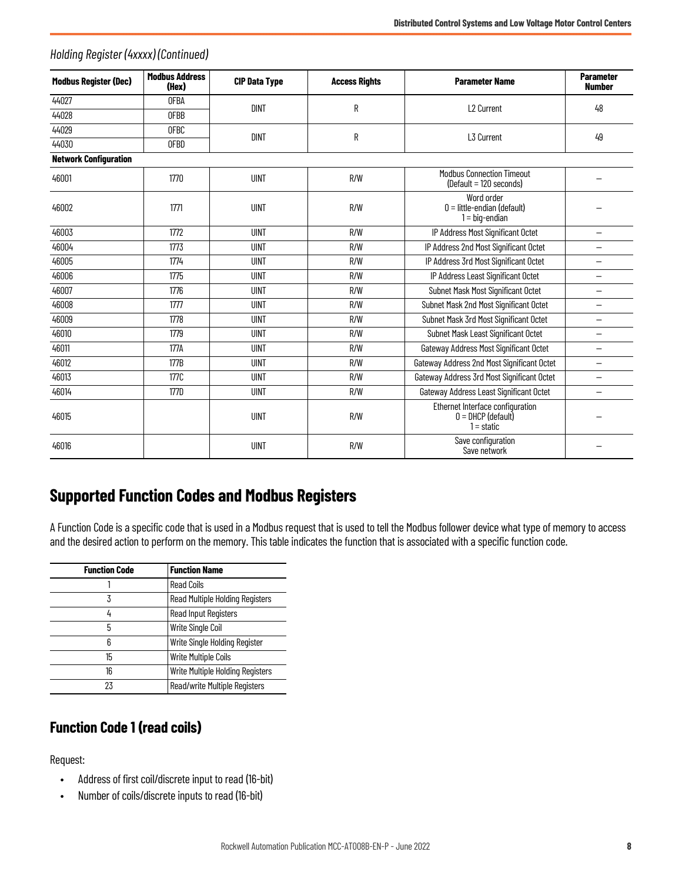| <b>Modbus Register (Dec)</b> | <b>Modbus Address</b><br>(Hex) | <b>CIP Data Type</b> | <b>Access Rights</b>                                                            | <b>Parameter Name</b>                                           | <b>Parameter</b><br><b>Number</b> |
|------------------------------|--------------------------------|----------------------|---------------------------------------------------------------------------------|-----------------------------------------------------------------|-----------------------------------|
| 44027                        | <b>OFBA</b>                    | <b>DINT</b>          | R                                                                               | L <sub>2</sub> Current                                          | 48                                |
| 44028                        | <b>OFBB</b>                    |                      |                                                                                 |                                                                 |                                   |
| 44029                        | <b>OFBC</b>                    | <b>DINT</b>          | R                                                                               | L3 Current                                                      | 49                                |
| 44030                        | <b>OFBD</b>                    |                      |                                                                                 |                                                                 |                                   |
| <b>Network Configuration</b> |                                |                      |                                                                                 |                                                                 |                                   |
| 46001                        | 1770                           | <b>UINT</b>          | R/W                                                                             | <b>Modbus Connection Timeout</b><br>(Default = 120 seconds)     |                                   |
| 46002                        | 1771                           | <b>UINT</b>          | R/W                                                                             | Word order<br>$0 =$ little-endian (default)<br>$1 = big-endian$ |                                   |
| 46003                        | 1772                           | <b>UINT</b>          | R/W                                                                             | IP Address Most Significant Octet                               | $\overline{\phantom{0}}$          |
| 46004                        | 1773                           | <b>UINT</b>          | R/W                                                                             | IP Address 2nd Most Significant Octet                           | -                                 |
| 46005                        | 1774                           | <b>UINT</b>          | R/W                                                                             | IP Address 3rd Most Significant Octet                           |                                   |
| 46006                        | 1775                           | UINT                 | R/W                                                                             | IP Address Least Significant Octet                              | $\overline{\phantom{0}}$          |
| 46007                        | 1776                           | <b>UINT</b>          | R/W                                                                             | Subnet Mask Most Significant Octet                              | -                                 |
| 46008                        | 1777                           | <b>UINT</b>          | R/W                                                                             | Subnet Mask 2nd Most Significant Octet                          | $\overline{\phantom{0}}$          |
| 46009                        | 1778                           | <b>UINT</b>          | R/W                                                                             | Subnet Mask 3rd Most Significant Octet                          | $\overline{\phantom{0}}$          |
| 46010                        | 1779                           | <b>UINT</b>          | R/W                                                                             | Subnet Mask Least Significant Octet                             |                                   |
| 46011                        | 177A                           | <b>UINT</b>          | R/W                                                                             | Gateway Address Most Significant Octet                          | $\overline{\phantom{0}}$          |
| 46012                        | 177B                           | <b>UINT</b>          | R/W                                                                             | Gateway Address 2nd Most Significant Octet                      | $\overline{\phantom{0}}$          |
| 46013                        | 177C                           | <b>UINT</b>          | R/W                                                                             | Gateway Address 3rd Most Significant Octet                      | -                                 |
| 46014                        | 177D                           | <b>UINT</b>          | R/W                                                                             | Gateway Address Least Significant Octet                         |                                   |
| 46015                        |                                | <b>UINT</b>          | Ethernet Interface configuration<br>R/W<br>$0 =$ DHCP (default)<br>$1 =$ static |                                                                 |                                   |
| 46016                        |                                | <b>UINT</b>          | R/W                                                                             | Save configuration<br>Save network                              |                                   |

#### *Holding Register (4xxxx) (Continued)*

### <span id="page-7-0"></span>**Supported Function Codes and Modbus Registers**

A Function Code is a specific code that is used in a Modbus request that is used to tell the Modbus follower device what type of memory to access and the desired action to perform on the memory. This table indicates the function that is associated with a specific function code.

| <b>Function Code</b> | <b>Function Name</b>                   |
|----------------------|----------------------------------------|
|                      | <b>Read Coils</b>                      |
| 3                    | <b>Read Multiple Holding Registers</b> |
| 4                    | Read Input Registers                   |
| 5                    | Write Single Coil                      |
| 6                    | Write Single Holding Register          |
| 15                   | <b>Write Multiple Coils</b>            |
| 16                   | Write Multiple Holding Registers       |
| 23                   | <b>Read/write Multiple Registers</b>   |

#### **Function Code 1 (read coils)**

Request:

- Address of first coil/discrete input to read (16-bit)
- Number of coils/discrete inputs to read (16-bit)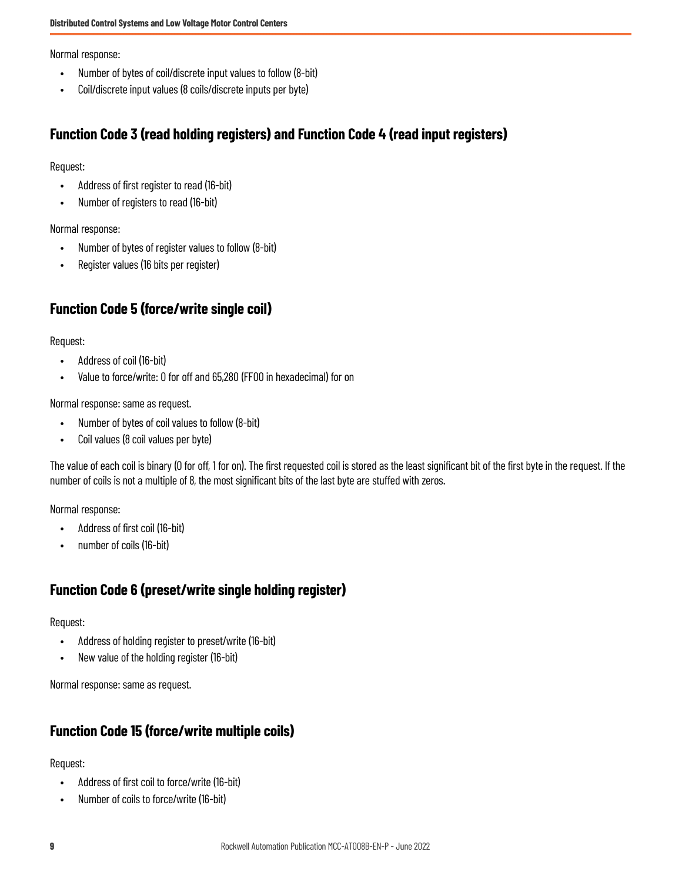Normal response:

- Number of bytes of coil/discrete input values to follow (8-bit)
- Coil/discrete input values (8 coils/discrete inputs per byte)

#### **Function Code 3 (read holding registers) and Function Code 4 (read input registers)**

Request:

- Address of first register to read (16-bit)
- Number of registers to read (16-bit)

Normal response:

- Number of bytes of register values to follow (8-bit)
- Register values (16 bits per register)

#### **Function Code 5 (force/write single coil)**

Request:

- Address of coil (16-bit)
- Value to force/write: 0 for off and 65,280 (FF00 in hexadecimal) for on

Normal response: same as request.

- Number of bytes of coil values to follow (8-bit)
- Coil values (8 coil values per byte)

The value of each coil is binary (0 for off, 1 for on). The first requested coil is stored as the least significant bit of the first byte in the request. If the number of coils is not a multiple of 8, the most significant bits of the last byte are stuffed with zeros.

Normal response:

- Address of first coil (16-bit)
- number of coils (16-bit)

#### **Function Code 6 (preset/write single holding register)**

Request:

- Address of holding register to preset/write (16-bit)
- New value of the holding register (16-bit)

Normal response: same as request.

#### **Function Code 15 (force/write multiple coils)**

Request:

- Address of first coil to force/write (16-bit)
- Number of coils to force/write (16-bit)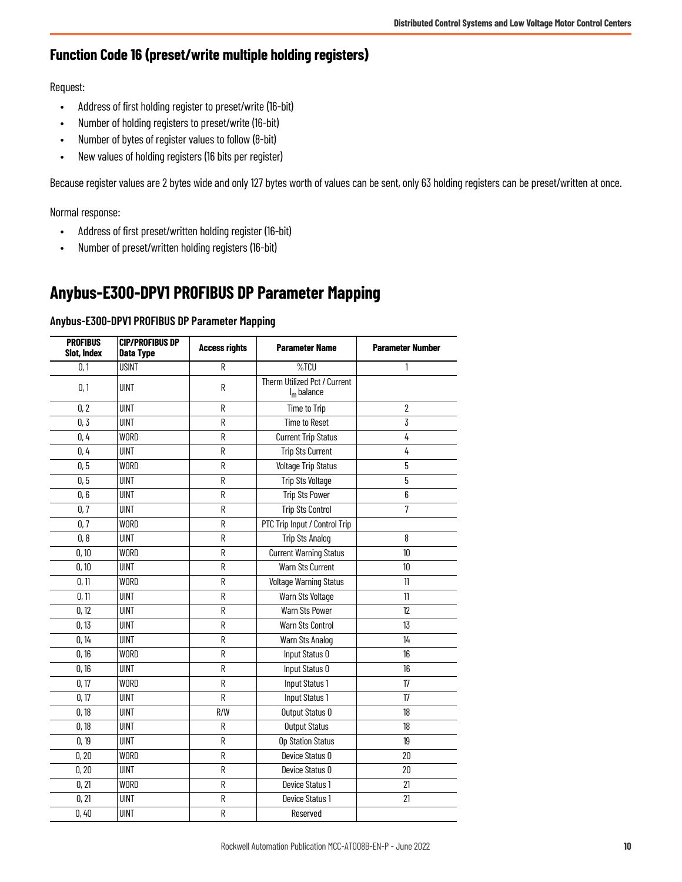#### **Function Code 16 (preset/write multiple holding registers)**

Request:

- Address of first holding register to preset/write (16-bit)
- Number of holding registers to preset/write (16-bit)
- Number of bytes of register values to follow (8-bit)
- New values of holding registers (16 bits per register)

Because register values are 2 bytes wide and only 127 bytes worth of values can be sent, only 63 holding registers can be preset/written at once.

Normal response:

- Address of first preset/written holding register (16-bit)
- Number of preset/written holding registers (16-bit)

## <span id="page-9-1"></span><span id="page-9-0"></span>**Anybus-E300-DPV1 PROFIBUS DP Parameter Mapping**

#### **Anybus-E300-DPV1 PROFIBUS DP Parameter Mapping**

| <b>PROFIBUS</b><br>Slot, Index | <b>CIP/PROFIBUS DP</b><br>Data Type | <b>Access rights</b> | <b>Parameter Name</b>                         | <b>Parameter Number</b> |
|--------------------------------|-------------------------------------|----------------------|-----------------------------------------------|-------------------------|
| 0,1                            | <b>USINT</b>                        | R                    | %TCU                                          | 1                       |
| 0, 1                           | <b>UINT</b>                         | R                    | Therm Utilized Pct / Current<br>$I_m$ balance |                         |
| 0, 2                           | <b>UINT</b>                         | R                    | Time to Trip                                  | $\overline{2}$          |
| 0, 3                           | <b>UINT</b>                         | R                    | <b>Time to Reset</b>                          | 3                       |
| 0, 4                           | <b>WORD</b>                         | ${\sf R}$            | <b>Current Trip Status</b>                    | 4                       |
| 0, 4                           | <b>UINT</b>                         | R                    | <b>Trip Sts Current</b>                       | 4                       |
| 0, 5                           | WORD                                | R                    | <b>Voltage Trip Status</b>                    | 5                       |
| 0, 5                           | <b>UINT</b>                         | R                    | <b>Trip Sts Voltage</b>                       | 5                       |
| 0,6                            | <b>UINT</b>                         | R                    | <b>Trip Sts Power</b>                         | 6                       |
| 0, 7                           | <b>UINT</b>                         | R                    | <b>Trip Sts Control</b>                       | $\overline{7}$          |
| 0,7                            | WORD                                | R                    | PTC Trip Input / Control Trip                 |                         |
| 0, 8                           | <b>UINT</b>                         | R                    | <b>Trip Sts Analog</b>                        | 8                       |
| 0, 10                          | WORD                                | R                    | <b>Current Warning Status</b>                 | 10 <sup>10</sup>        |
| 0, 10                          | <b>UINT</b>                         | R                    | <b>Warn Sts Current</b>                       | 10 <sup>°</sup>         |
| 0, 11                          | <b>WORD</b>                         | R                    | Voltage Warning Status                        | 11                      |
| 0, 11                          | <b>UINT</b>                         | R                    | Warn Sts Voltage                              | 11                      |
| 0, 12                          | <b>UINT</b>                         | R                    | Warn Sts Power                                | 12                      |
| 0, 13                          | <b>UINT</b>                         | R                    | <b>Warn Sts Control</b>                       | 13                      |
| 0, 14                          | <b>UINT</b>                         | R                    | Warn Sts Analog                               | 14                      |
| 0, 16                          | <b>WORD</b>                         | R                    | Input Status 0                                | 16                      |
| 0, 16                          | <b>UINT</b>                         | R                    | Input Status 0                                | 16                      |
| 0, 17                          | <b>WORD</b>                         | R                    | Input Status 1                                | 17                      |
| 0, 17                          | <b>UINT</b>                         | R                    | Input Status 1                                | 17                      |
| 0, 18                          | <b>UINT</b>                         | R/W                  | Output Status 0                               | 18                      |
| 0, 18                          | <b>UINT</b>                         | R                    | <b>Output Status</b>                          | 18                      |
| 0, 19                          | <b>UINT</b>                         | R                    | Op Station Status                             | 19                      |
| 0, 20                          | <b>WORD</b>                         | R                    | Device Status 0                               | 20                      |
| 0, 20                          | <b>UINT</b>                         | R                    | Device Status 0                               | 20                      |
| 0, 21                          | <b>WORD</b>                         | ${\sf R}$            | Device Status 1                               | 21                      |
| 0, 21                          | <b>UINT</b>                         | R                    | Device Status 1                               | 21                      |
| 0,40                           | <b>UINT</b>                         | R                    | Reserved                                      |                         |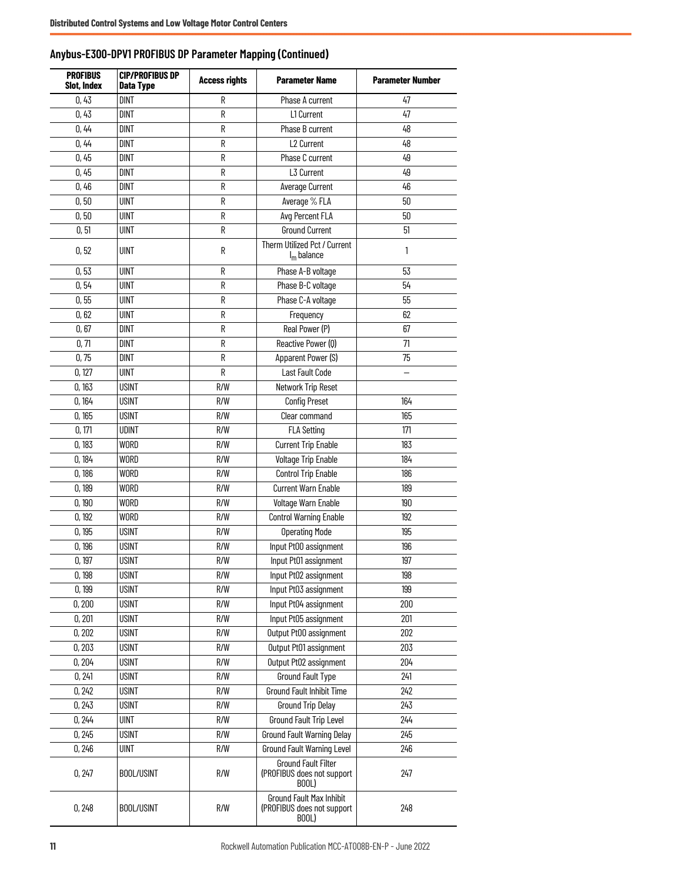| <b>PROFIBUS</b><br>Slot, Index | <b>CIP/PROFIBUS DP</b><br><b>Data Type</b> | <b>Access rights</b><br><b>Parameter Name</b> |                                                                        | <b>Parameter Number</b> |
|--------------------------------|--------------------------------------------|-----------------------------------------------|------------------------------------------------------------------------|-------------------------|
| 0,43                           | <b>DINT</b>                                | R                                             | Phase A current                                                        | 47                      |
| 0,43                           | <b>DINT</b>                                | R                                             | L1 Current                                                             | 47                      |
| 0,44                           | <b>DINT</b>                                | R                                             | Phase B current                                                        | 48                      |
| 0,44                           | <b>DINT</b>                                | R                                             | L2 Current                                                             | 48                      |
| 0,45                           | <b>DINT</b>                                | R                                             | Phase C current                                                        | 49                      |
| 0,45                           | DINT                                       | R                                             | $\overline{L3}$ Current                                                | 49                      |
| 0,46                           | <b>DINT</b>                                | R                                             | Average Current                                                        | 46                      |
| 0, 50                          | <b>UINT</b>                                | R                                             | Average % FLA                                                          | 50                      |
| 0, 50                          | <b>UINT</b>                                | R                                             | Avg Percent FLA                                                        | 50                      |
| 0, 51                          | UINT                                       | R                                             | <b>Ground Current</b>                                                  | 51                      |
| 0, 52                          | <b>UINT</b>                                | R                                             | Therm Utilized Pct / Current<br>$I_m$ balance                          | $\mathbf{1}$            |
| 0, 53                          | <b>UINT</b>                                | R                                             | Phase A-B voltage                                                      | 53                      |
| 0,54                           | <b>UINT</b>                                | R                                             | Phase B-C voltage                                                      | 54                      |
| 0,55                           | <b>UINT</b>                                | R                                             | Phase C-A voltage                                                      | 55                      |
| 0,62                           | <b>UINT</b>                                | R                                             | Frequency                                                              | 62                      |
| 0,67                           | <b>DINT</b>                                | R                                             | Real Power (P)                                                         | 67                      |
| 0, 71                          | <b>DINT</b>                                | R                                             | Reactive Power (0)                                                     | 71                      |
| 0,75                           | DINT                                       | R                                             | Apparent Power (S)                                                     | 75                      |
| 0,127                          | <b>UINT</b>                                | R                                             | Last Fault Code                                                        |                         |
| 0,163                          | <b>USINT</b>                               | R/W                                           | Network Trip Reset                                                     |                         |
| 0,164                          | <b>USINT</b>                               | R/W                                           | <b>Config Preset</b>                                                   | 164                     |
| 0, 165                         | <b>USINT</b>                               | R/W                                           | Clear command                                                          | 165                     |
| 0,171                          | <b>UDINT</b>                               | R/W                                           | <b>FLA Setting</b>                                                     | 171                     |
| 0,183                          | WORD                                       | R/W                                           | <b>Current Trip Enable</b>                                             | 183                     |
| 0, 184                         | <b>WORD</b>                                | R/W                                           | Voltage Trip Enable                                                    | 184                     |
| 0,186                          | <b>WORD</b>                                | R/W                                           | <b>Control Trip Enable</b>                                             | 186                     |
| 0,189                          | <b>WORD</b>                                | R/W                                           | <b>Current Warn Enable</b>                                             | 189                     |
| 0, 190                         | <b>WORD</b>                                | R/W                                           | Voltage Warn Enable                                                    | 190                     |
| 0,192                          | <b>WORD</b>                                | R/W                                           | <b>Control Warning Enable</b>                                          | 192                     |
| 0, 195                         | <b>USINT</b>                               | R/W                                           | <b>Operating Mode</b>                                                  | 195                     |
| 0, 196                         | <b>USINT</b>                               | R/W                                           | Input Pt00 assignment                                                  | 196                     |
| 0,197                          | <b>USINT</b>                               | R/W                                           | Input Pt01 assignment                                                  | 197                     |
| 0, 198                         | <b>USINT</b>                               | R/W                                           | Input Pt02 assignment                                                  | 198                     |
| 0,199                          | <b>USINT</b>                               | R/W                                           | Input Pt03 assignment                                                  | 199                     |
| 0,200                          | <b>USINT</b>                               | R/W                                           | Input Pt04 assignment                                                  | 200                     |
| 0,201                          | <b>USINT</b>                               | R/W                                           | Input Pt05 assignment                                                  | 201                     |
| 0,202                          | <b>USINT</b>                               | R/W                                           | Output Pt00 assignment                                                 | 202                     |
| 0,203                          | <b>USINT</b>                               | R/W                                           | Output Pt01 assignment                                                 | 203                     |
| 0, 204                         | <b>USINT</b>                               | R/W                                           | Output Pt02 assignment                                                 | 204                     |
| 0,241                          | <b>USINT</b>                               | R/W                                           | Ground Fault Type                                                      | 241                     |
| 0, 242                         | <b>USINT</b>                               | R/W                                           | Ground Fault Inhibit Time                                              | 242                     |
| 0, 243                         | <b>USINT</b>                               | R/W                                           | <b>Ground Trip Delay</b>                                               | 243                     |
| 0, 244                         | <b>UINT</b>                                | R/W                                           | Ground Fault Trip Level                                                | 244                     |
| 0, 245                         | <b>USINT</b>                               | R/W                                           | Ground Fault Warning Delay                                             | 245                     |
| 0,246                          | <b>UINT</b>                                | R/W                                           | Ground Fault Warning Level                                             | 246                     |
| 0,247                          | BOOL/USINT                                 | R/W                                           | <b>Ground Fault Filter</b><br>(PROFIBUS does not support<br>BOOL)      | 247                     |
| 0, 248                         | BOOL/USINT                                 | R/W                                           | <b>Ground Fault Max Inhibit</b><br>(PROFIBUS does not support<br>BOOL) | 248                     |

**Anybus-E300-DPV1 PROFIBUS DP Parameter Mapping (Continued)**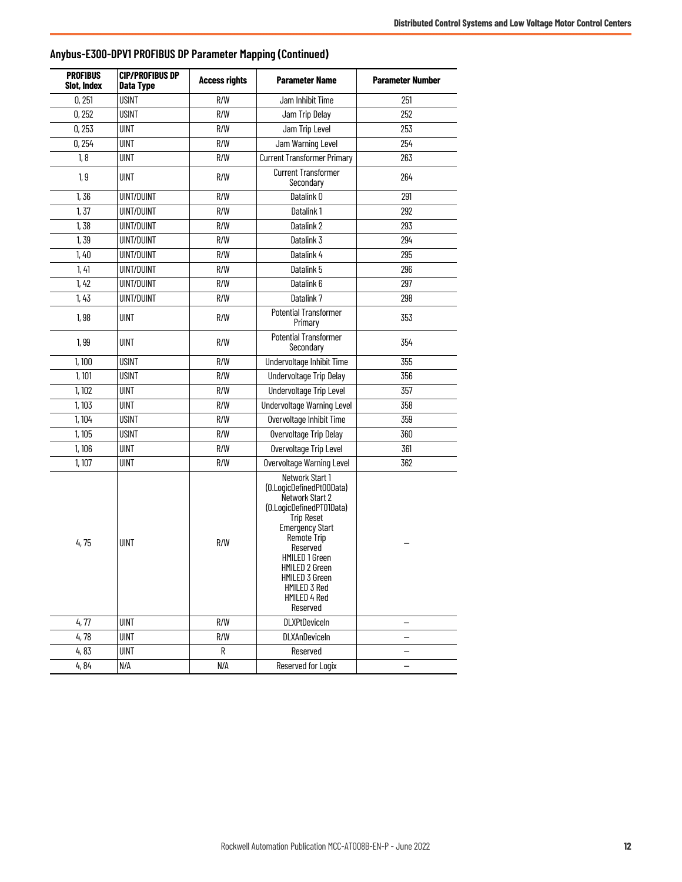| <b>PROFIBUS</b><br><b>Slot, Index</b> | <b>CIP/PROFIBUS DP</b><br>Data Type | <b>Access rights</b> | <b>Parameter Name</b>                                                                                                                                                                                                                                                  | <b>Parameter Number</b>  |  |
|---------------------------------------|-------------------------------------|----------------------|------------------------------------------------------------------------------------------------------------------------------------------------------------------------------------------------------------------------------------------------------------------------|--------------------------|--|
| 0,251                                 | <b>USINT</b>                        | R/W                  | Jam Inhibit Time                                                                                                                                                                                                                                                       | 251                      |  |
| 0,252                                 | <b>USINT</b>                        | R/W                  | Jam Trip Delay                                                                                                                                                                                                                                                         | 252                      |  |
| 0,253                                 | <b>UINT</b>                         | R/W                  | Jam Trip Level                                                                                                                                                                                                                                                         | 253                      |  |
| 0,254                                 | <b>UINT</b>                         | R/W                  | Jam Warning Level                                                                                                                                                                                                                                                      | 254                      |  |
| 1, 8                                  | <b>UINT</b>                         | R/W                  | Current Transformer Primary                                                                                                                                                                                                                                            | 263                      |  |
| 1, 9                                  | <b>UINT</b>                         | R/W                  | <b>Current Transformer</b><br>Secondary                                                                                                                                                                                                                                | 264                      |  |
| 1,36                                  | <b>UINT/DUINT</b>                   | R/W                  | Datalink 0                                                                                                                                                                                                                                                             | 291                      |  |
| 1, 37                                 | <b>UINT/DUINT</b>                   | R/W                  | Datalink 1                                                                                                                                                                                                                                                             | 292                      |  |
| 1,38                                  | <b>UINT/DUINT</b>                   | R/W                  | Datalink 2                                                                                                                                                                                                                                                             | 293                      |  |
| 1,39                                  | <b>UINT/DUINT</b>                   | R/W                  | Datalink 3                                                                                                                                                                                                                                                             | 294                      |  |
| 1,40                                  | <b>UINT/DUINT</b>                   | R/W                  | Datalink 4                                                                                                                                                                                                                                                             | 295                      |  |
| 1,41                                  | <b>UINT/DUINT</b>                   | R/W                  | Datalink 5                                                                                                                                                                                                                                                             | 296                      |  |
| 1,42                                  | <b>UINT/DUINT</b>                   | R/W                  | Datalink 6                                                                                                                                                                                                                                                             | 297                      |  |
| 1, 43                                 | <b>UINT/DUINT</b>                   | R/W                  | Datalink 7                                                                                                                                                                                                                                                             | 298                      |  |
| 1,98                                  | <b>UINT</b>                         | R/W                  | <b>Potential Transformer</b><br>Primary                                                                                                                                                                                                                                | 353                      |  |
| 1,99                                  | <b>UINT</b>                         | R/W                  | <b>Potential Transformer</b><br>Secondary                                                                                                                                                                                                                              | 354                      |  |
| 1,100                                 | <b>USINT</b>                        | R/W                  | Undervoltage Inhibit Time                                                                                                                                                                                                                                              | 355                      |  |
| 1, 101                                | <b>USINT</b>                        | R/W                  | <b>Undervoltage Trip Delay</b>                                                                                                                                                                                                                                         | 356                      |  |
| 1,102                                 | <b>UINT</b>                         | R/W                  | <b>Undervoltage Trip Level</b>                                                                                                                                                                                                                                         | 357                      |  |
| 1,103                                 | <b>UINT</b>                         | R/W                  | Undervoltage Warning Level                                                                                                                                                                                                                                             | 358                      |  |
| 1, 104                                | USINT                               | R/W                  | Overvoltage Inhibit Time                                                                                                                                                                                                                                               | 359                      |  |
| 1, 105                                | <b>USINT</b>                        | R/W                  | Overvoltage Trip Delay                                                                                                                                                                                                                                                 | 360                      |  |
| 1, 106                                | <b>UINT</b>                         | R/W                  | Overvoltage Trip Level                                                                                                                                                                                                                                                 | 361                      |  |
| 1,107                                 | <b>UINT</b>                         | R/W                  | Overvoltage Warning Level                                                                                                                                                                                                                                              | 362                      |  |
| 4,75                                  | <b>UINT</b>                         | R/W                  | Network Start 1<br>(0.LogicDefinedPt00Data)<br>Network Start 2<br>(0.LogicDefinedPT01Data)<br><b>Trip Reset</b><br>Emergency Start<br>Remote Trip<br>Reserved<br><b>HMILED 1 Green</b><br>HMILED 2 Green<br>HMILED 3 Green<br>HMILED 3 Red<br>HMILED 4 Red<br>Reserved |                          |  |
| 4,77                                  | <b>UINT</b>                         | R/W                  | <b>DLXPtDeviceIn</b>                                                                                                                                                                                                                                                   | $\overline{\phantom{0}}$ |  |
| 4,78                                  | <b>UINT</b>                         | R/W                  | DLXAnDeviceIn                                                                                                                                                                                                                                                          | -                        |  |
| 4,83                                  | <b>UINT</b>                         | R                    | Reserved                                                                                                                                                                                                                                                               |                          |  |
| 4,84                                  | N/A                                 | N/A                  | Reserved for Logix                                                                                                                                                                                                                                                     | $\overline{\phantom{0}}$ |  |

#### **Anybus-E300-DPV1 PROFIBUS DP Parameter Mapping (Continued)**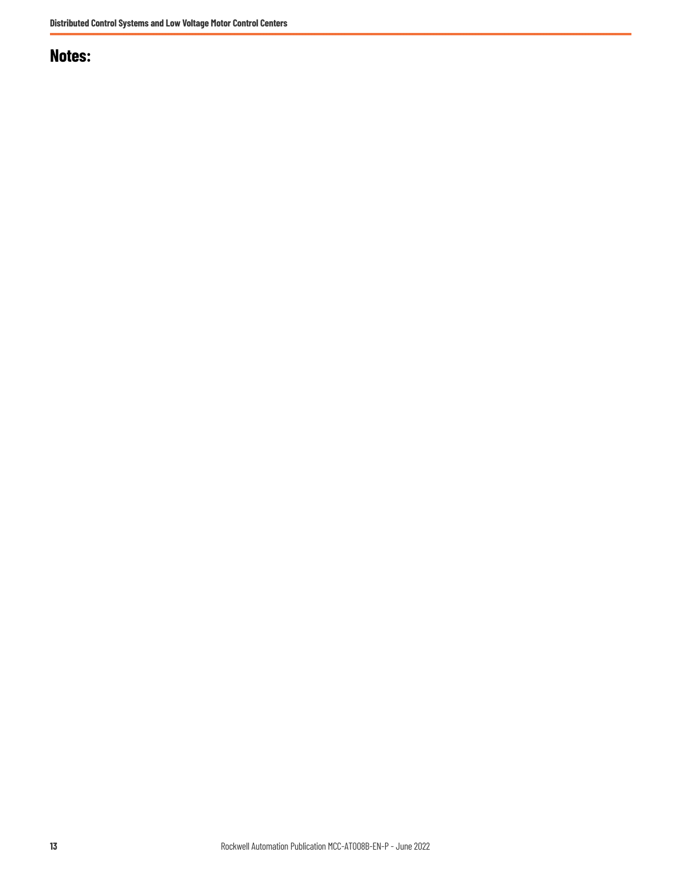### **Notes:**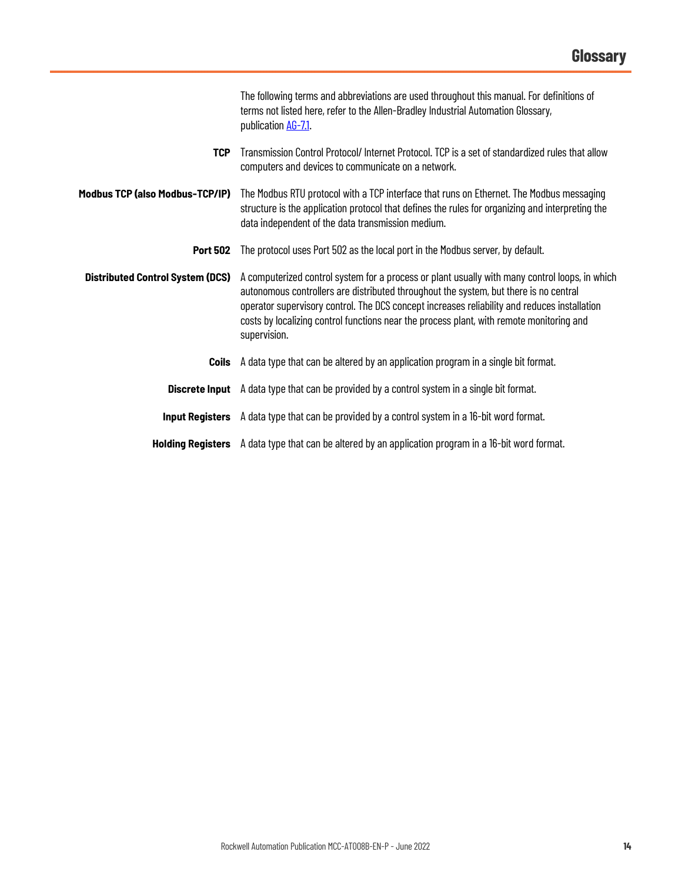<span id="page-13-0"></span>

|                                         | The following terms and abbreviations are used throughout this manual. For definitions of<br>terms not listed here, refer to the Allen-Bradley Industrial Automation Glossary,<br>publication AG-7.1.                                                                                                                                                                                               |  |  |
|-----------------------------------------|-----------------------------------------------------------------------------------------------------------------------------------------------------------------------------------------------------------------------------------------------------------------------------------------------------------------------------------------------------------------------------------------------------|--|--|
| <b>TCP</b>                              | Transmission Control Protocol/Internet Protocol. TCP is a set of standardized rules that allow<br>computers and devices to communicate on a network.                                                                                                                                                                                                                                                |  |  |
| Modbus TCP (also Modbus-TCP/IP)         | The Modbus RTU protocol with a TCP interface that runs on Ethernet. The Modbus messaging<br>structure is the application protocol that defines the rules for organizing and interpreting the<br>data independent of the data transmission medium.                                                                                                                                                   |  |  |
| <b>Port 502</b>                         | The protocol uses Port 502 as the local port in the Modbus server, by default.                                                                                                                                                                                                                                                                                                                      |  |  |
| <b>Distributed Control System (DCS)</b> | A computerized control system for a process or plant usually with many control loops, in which<br>autonomous controllers are distributed throughout the system, but there is no central<br>operator supervisory control. The DCS concept increases reliability and reduces installation<br>costs by localizing control functions near the process plant, with remote monitoring and<br>supervision. |  |  |
| Coils                                   | A data type that can be altered by an application program in a single bit format.                                                                                                                                                                                                                                                                                                                   |  |  |
|                                         | <b>Discrete Input</b> A data type that can be provided by a control system in a single bit format.                                                                                                                                                                                                                                                                                                  |  |  |
|                                         | <b>Input Registers</b> A data type that can be provided by a control system in a 16-bit word format.                                                                                                                                                                                                                                                                                                |  |  |
|                                         | Holding Registers A data type that can be altered by an application program in a 16-bit word format.                                                                                                                                                                                                                                                                                                |  |  |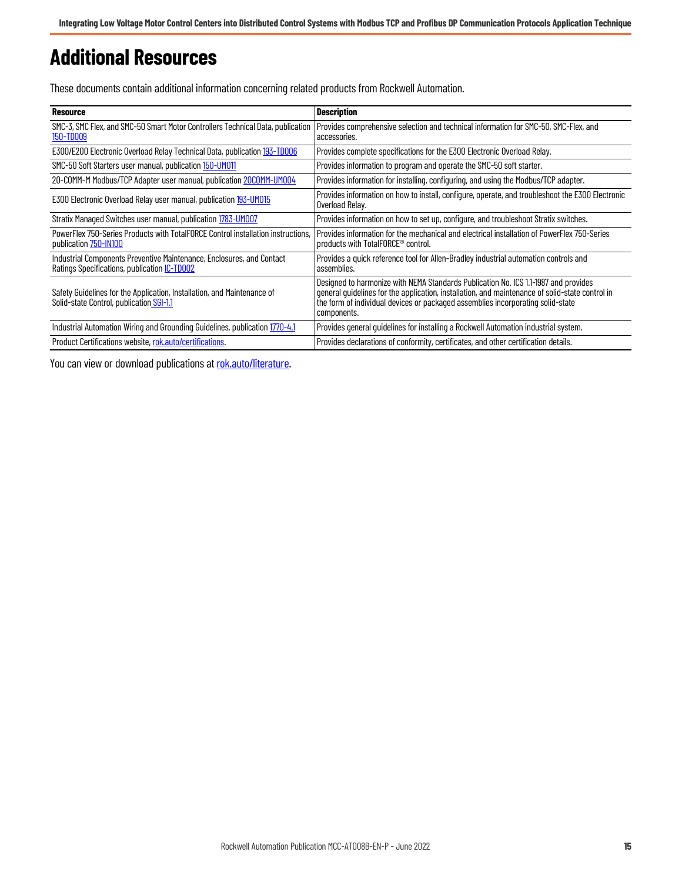# <span id="page-14-0"></span>**Additional Resources**

These documents contain additional information concerning related products from Rockwell Automation.

| Resource                                                                                                                     | <b>Description</b>                                                                                                                                                                                                                                                                       |
|------------------------------------------------------------------------------------------------------------------------------|------------------------------------------------------------------------------------------------------------------------------------------------------------------------------------------------------------------------------------------------------------------------------------------|
| SMC-3, SMC Flex, and SMC-50 Smart Motor Controllers Technical Data, publication<br>150-TD009                                 | Provides comprehensive selection and technical information for SMC-50, SMC-Flex, and<br>accessories.                                                                                                                                                                                     |
| E300/E200 Electronic Overload Relay Technical Data, publication 193-TD006                                                    | Provides complete specifications for the E300 Electronic Overload Relay.                                                                                                                                                                                                                 |
| SMC-50 Soft Starters user manual, publication 150-UM011                                                                      | Provides information to program and operate the SMC-50 soft starter.                                                                                                                                                                                                                     |
| 20-COMM-M Modbus/TCP Adapter user manual, publication 20COMM-UM004                                                           | Provides information for installing, configuring, and using the Modbus/TCP adapter.                                                                                                                                                                                                      |
| E300 Electronic Overload Relay user manual, publication 193-UM015                                                            | Provides information on how to install, configure, operate, and troubleshoot the E300 Electronic<br>Overload Relay.                                                                                                                                                                      |
| Stratix Managed Switches user manual, publication 1783-UM007                                                                 | Provides information on how to set up, configure, and troubleshoot Stratix switches.                                                                                                                                                                                                     |
| PowerFlex 750-Series Products with TotalFORCE Control installation instructions.<br>publication 750-IN100                    | Provides information for the mechanical and electrical installation of PowerFlex 750-Series<br>products with TotalFORCE <sup>®</sup> control.                                                                                                                                            |
| Industrial Components Preventive Maintenance, Enclosures, and Contact<br>Ratings Specifications, publication <i>IC-TD002</i> | Provides a quick reference tool for Allen-Bradley industrial automation controls and<br>assemblies.                                                                                                                                                                                      |
| Safety Guidelines for the Application, Installation, and Maintenance of<br>Solid-state Control, publication SGI-1.1          | Designed to harmonize with NEMA Standards Publication No. ICS 1.1-1987 and provides<br>general quidelines for the application, installation, and maintenance of solid-state control in<br>the form of individual devices or packaged assemblies incorporating solid-state<br>components. |
| Industrial Automation Wiring and Grounding Guidelines, publication 1770-4.1                                                  | Provides general guidelines for installing a Rockwell Automation industrial system.                                                                                                                                                                                                      |
| Product Certifications website, rok.auto/certifications.                                                                     | Provides declarations of conformity, certificates, and other certification details.                                                                                                                                                                                                      |

You can view or download publications at [rok.auto/literature.](https://rok.auto/literature)